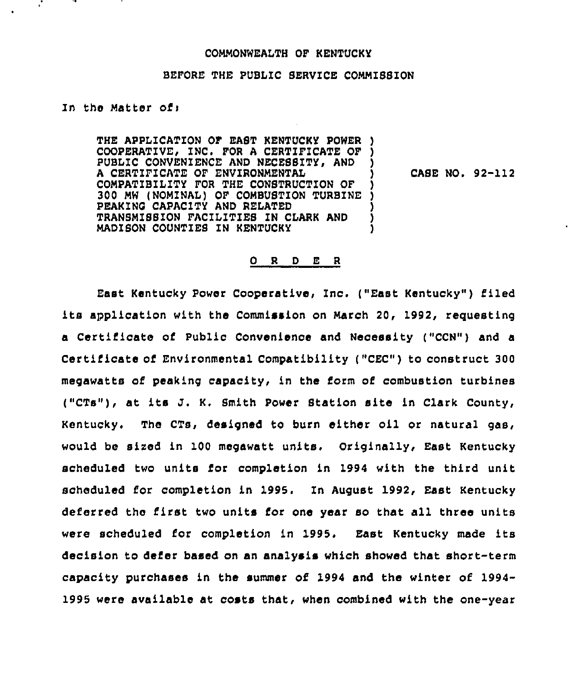# COMMONWEALTH OF KENTUCKY

# BEFORE THE PUBLIC SERVICE COMMISSION

# In the Matter of:

THE APPLICATION OF EAST KENTUCKY POWER ) COOPERATIVE, INC. FOR A CERTIFICATE OF PUBLIC CONVENIENCE AND NECESSITY, AND A CERTIFICATE OF ENVIRONMENTAL COMPATIBILITY FOR THE CONSTRUCTION OF ) 300 MW (NOMINAL) OF COMBUSTION TURBINE ) PEAKING CAPACITY AND RELATED TRANSMISSION FACILITIES IN CLARK AND MADISON COUNTIES IN KENTUCKY )

CASE NO. 92-112

### 0 <sup>R</sup> <sup>D</sup> E <sup>R</sup>

East Kentucky Power Cooperative, Inc. ("East Kentucky") filed its application with the Commission on March 20, 1992, reguesting a Certificate of Public Convenience and Necessity ("CCN") and a Certificate of Environmental Compatibility {"CEC") to construct 300 megawatts of peaking capacity, in the form of combustion turbines ("CTs"), at its J. K. Smith Power Station site in Clark County, Kentucky. The CTs, designed to burn either oil or natural gas, would be aired in 100 megawatt units. Originally, East Kentucky scheduled two units for completion in 1994 with the third unit scheduled for completion in 1995. In August 1992, East Kentucky deferred the first two units for one year so that all three units were scheduled for completion in 1995. East Kentucky made its decision to defer based on an analysis which showed that short-term capacity purchases in the summer of 1994 and the winter of 1994- 1995 were available at costs that, when combined with the one-year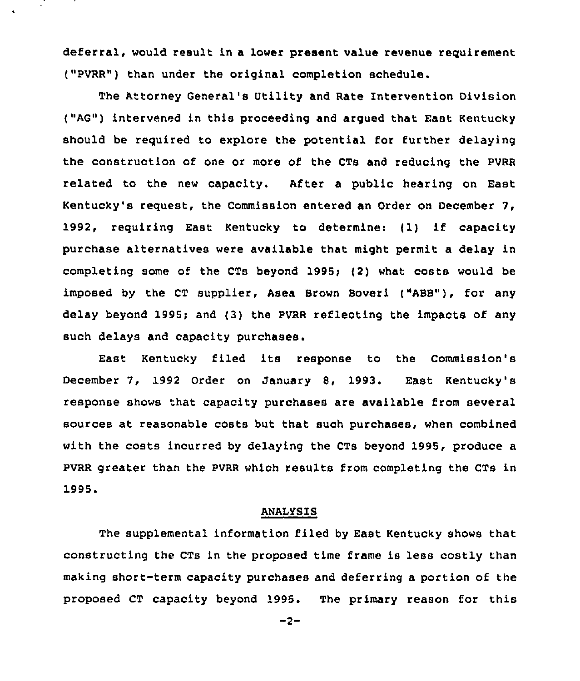deferral, would result in a lower present value revenue requirement ("PVRR") than under the original completion schedule.

The Attorney General's Utility and Rate Intervention Division ("AG") intervened in this proceeding and argued that East Kentucky should be required to explore the potential for further delaying the construction of one or more of the CTs and reducing the PVRR related to the new capacity. After a public hearing on East Kentucky's request, the Commission entered an Order on December 7, 1992, requiring East Kentucky to determine: (1) if capacity purchase alternatives were available that might permit a delay in completing some of the CTs beyond 1995;  $(2)$  what costs would be imposed by the CT supplier, Asea Brown Boveri ("ABB"), for any delay beyond 1995; and (3) the PVRR reflecting the impacts of any such delays and capacity purchases.

East Kentucky filed its response to the Commission's December 7, 1992 Order on January 8, 1993. East Kentucky's response shows that capacity purchases are available from several sources at reasonable costs but that such purchases, when combined with the costs incurred by delaying the CTs beyond 1995, produce a PVRR greater than the PVRR which results from completing the CTs in 1995.

## ANALYSIS

The supplemental information filed by East Kentucky shows that constructing the CTs in the proposed time frame is less costly than making short-term capacity purchases and deferring a portion of the proposed CT capacity beyond 1995. The primary reason for this

 $-2-$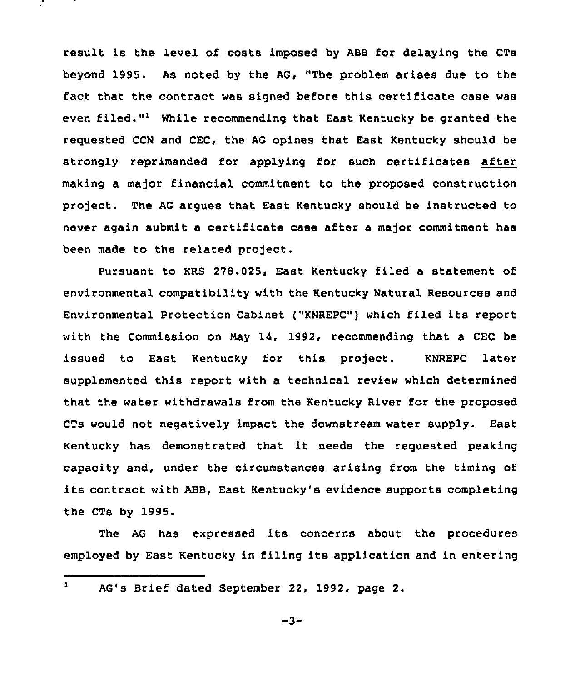result is the level of costs imposed by ABB for delaying the CTs beyond 1995. As noted by the AG, "The problem arises due to the fact that the contract was signed before this certificate case was even filed."<sup>1</sup> While recommending that East Kentucky be granted the requested CCN and CEC, the AG opines that East Kentucky should be strongly reprimanded for applying for such certificates after making a major financial commitment to the proposed construction project. The AG argues that East Kentucky should be instructed to never again submit a certificate case after a major commitment has been made to the related project.

Pursuant to KRS 278.025, East Kentucky filed a statement of environmental compatibility with the Kentucky Natural Resources and Environmental Protection Cabinet ("KNREPC") which filed its report with the Commission on Nay 14, 1992, recommending that a CEC be issued to East Kentucky for this project. KNREPC later supplemented this report with a technical review which determined that the water withdrawals from the Kentucky River for the proposed CTs would not negatively impact the downstream water supply. East Kentucky has demonstrated that it needs the requested peaking capacity and, under the circumstances arising from the timing of its contract with ABB, East Kentucky's evidence supports completing the CTs by 1995.

The AG has expressed its concerns about the procedures employed by East Kentucky in filing its application and in entering

#### $\mathbf{1}$ AG's Brief dated September 22, 1992, page 2.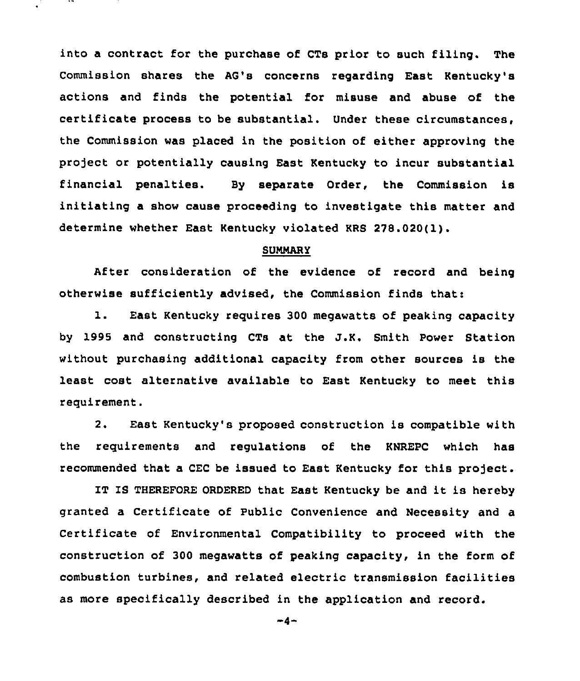into a contract for the purchase of CTs prior to such filing. The Commission shares the AG's concerns regarding East Kentucky's actions and finds the potential for misuse and abuse of the certificate process to be substantial. Under these circumstances, the Commission was placed in the position of either approving the project or potentially causing East Kentucky to incur substantial financial penalties. By separate Order, the Commission is initiating a show cause proceeding to investigate this matter and determine whether East Kentucky violated KRS 278.020(1).

## SUNMARY

After consideration of the evidence of record and being otherwise sufficiently advised, the Commission finds that:

l. East Kentucky requires <sup>300</sup> megawatts of peaking capacity by 1995 and constructing CTs at the J.K. Smith Power Station without purchasing additional capacity from other sources is the least cost alternative available to East Kentucky to meet this requirement.

2. East Kentucky's proposed construction is compatible with the requirements and regulations of the KNREPC which has recommended that a CEC be issued to East Kentucky for this project.

IT IS THEREFORE ORDERED that East Kentucky be and it is hereby granted a Certificate of Public Convenience and Necessity and a Certificate of Environmental Compatibility to proceed with the construction of 300 megawatts of peaking capacity, in the form of combustion turbines, and related electric transmission facilities as more specifically described in the application and record.

 $-4-$